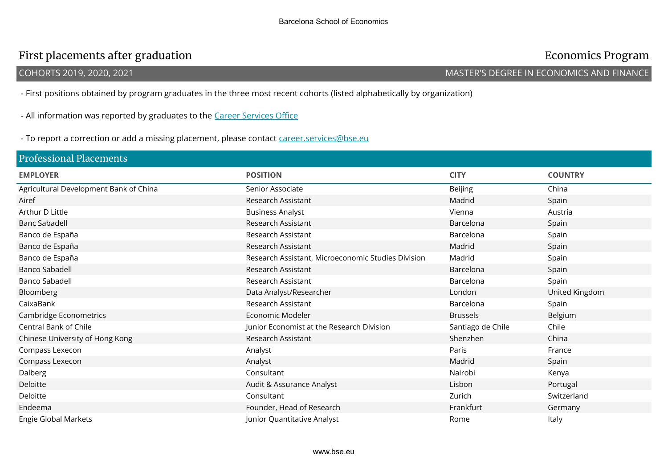## First placements after graduation **Economics Program**

### COHORTS 2019, 2020, 2021 MASTER'S DEGREE IN ECONOMICS AND FINANCE

- First positions obtained by program graduates in the three most recent cohorts (listed alphabetically by organization)

- All information was reported by graduates to the Career Services Office

- To report a correction or add a missing placement, please contact career.services@bse.eu

| <b>Professional Placements</b>         |                                                    |                   |                |
|----------------------------------------|----------------------------------------------------|-------------------|----------------|
| <b>EMPLOYER</b>                        | <b>POSITION</b>                                    | <b>CITY</b>       | <b>COUNTRY</b> |
| Agricultural Development Bank of China | Senior Associate                                   | <b>Beijing</b>    | China          |
| Airef                                  | Research Assistant                                 | Madrid            | Spain          |
| Arthur D Little                        | <b>Business Analyst</b>                            | Vienna            | Austria        |
| <b>Banc Sabadell</b>                   | Research Assistant                                 | Barcelona         | Spain          |
| Banco de España                        | Research Assistant                                 | Barcelona         | Spain          |
| Banco de España                        | Research Assistant                                 | Madrid            | Spain          |
| Banco de España                        | Research Assistant, Microeconomic Studies Division | Madrid            | Spain          |
| <b>Banco Sabadell</b>                  | Research Assistant                                 | Barcelona         | Spain          |
| <b>Banco Sabadell</b>                  | Research Assistant                                 | Barcelona         | Spain          |
| Bloomberg                              | Data Analyst/Researcher                            | London            | United Kingdom |
| CaixaBank                              | Research Assistant                                 | Barcelona         | Spain          |
| Cambridge Econometrics                 | Economic Modeler                                   | <b>Brussels</b>   | Belgium        |
| Central Bank of Chile                  | Junior Economist at the Research Division          | Santiago de Chile | Chile          |
| Chinese University of Hong Kong        | Research Assistant                                 | Shenzhen          | China          |
| Compass Lexecon                        | Analyst                                            | Paris             | France         |
| Compass Lexecon                        | Analyst                                            | Madrid            | Spain          |
| Dalberg                                | Consultant                                         | Nairobi           | Kenya          |
| Deloitte                               | Audit & Assurance Analyst                          | Lisbon            | Portugal       |
| Deloitte                               | Consultant                                         | Zurich            | Switzerland    |
| Endeema                                | Founder, Head of Research                          | Frankfurt         | Germany        |
| Engie Global Markets                   | Junior Quantitative Analyst                        | Rome              | Italy          |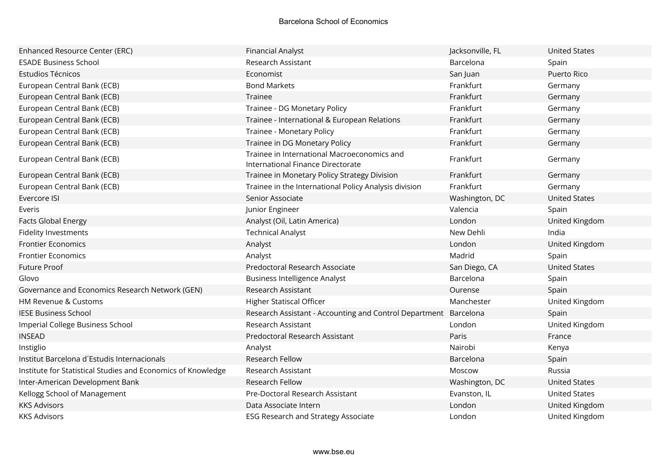| Enhanced Resource Center (ERC)                               | <b>Financial Analyst</b>                                                         | Jacksonville, FL | <b>United States</b> |
|--------------------------------------------------------------|----------------------------------------------------------------------------------|------------------|----------------------|
| <b>ESADE Business School</b>                                 | Research Assistant                                                               | Barcelona        | Spain                |
| Estudios Técnicos                                            | Economist                                                                        | San Juan         | Puerto Rico          |
| European Central Bank (ECB)                                  | <b>Bond Markets</b>                                                              | Frankfurt        | Germany              |
| European Central Bank (ECB)                                  | Trainee                                                                          | Frankfurt        | Germany              |
| European Central Bank (ECB)                                  | Trainee - DG Monetary Policy                                                     | Frankfurt        | Germany              |
| European Central Bank (ECB)                                  | Trainee - International & European Relations                                     | Frankfurt        | Germany              |
| European Central Bank (ECB)                                  | Trainee - Monetary Policy                                                        | Frankfurt        | Germany              |
| European Central Bank (ECB)                                  | Trainee in DG Monetary Policy                                                    | Frankfurt        | Germany              |
| European Central Bank (ECB)                                  | Trainee in International Macroeconomics and<br>International Finance Directorate | Frankfurt        | Germany              |
| European Central Bank (ECB)                                  | Trainee in Monetary Policy Strategy Division                                     | Frankfurt        | Germany              |
| European Central Bank (ECB)                                  | Trainee in the International Policy Analysis division                            | Frankfurt        | Germany              |
| Evercore ISI                                                 | Senior Associate                                                                 | Washington, DC   | <b>United States</b> |
| Everis                                                       | Junior Engineer                                                                  | Valencia         | Spain                |
| <b>Facts Global Energy</b>                                   | Analyst (Oil, Latin America)                                                     | London           | United Kingdom       |
| Fidelity Investments                                         | <b>Technical Analyst</b>                                                         | New Dehli        | India                |
| <b>Frontier Economics</b>                                    | Analyst                                                                          | London           | United Kingdom       |
| <b>Frontier Economics</b>                                    | Analyst                                                                          | Madrid           | Spain                |
| Future Proof                                                 | Predoctoral Research Associate                                                   | San Diego, CA    | <b>United States</b> |
| Glovo                                                        | <b>Business Intelligence Analyst</b>                                             | Barcelona        | Spain                |
| Governance and Economics Research Network (GEN)              | Research Assistant                                                               | Ourense          | Spain                |
| HM Revenue & Customs                                         | Higher Statiscal Officer                                                         | Manchester       | United Kingdom       |
| <b>IESE Business School</b>                                  | Research Assistant - Accounting and Control Department Barcelona                 |                  | Spain                |
| Imperial College Business School                             | Research Assistant                                                               | London           | United Kingdom       |
| <b>INSEAD</b>                                                | Predoctoral Research Assistant                                                   | Paris            | France               |
| Instiglio                                                    | Analyst                                                                          | Nairobi          | Kenya                |
| Institut Barcelona d'Estudis Internacionals                  | Research Fellow                                                                  | Barcelona        | Spain                |
| Institute for Statistical Studies and Economics of Knowledge | Research Assistant                                                               | Moscow           | Russia               |
| Inter-American Development Bank                              | Research Fellow                                                                  | Washington, DC   | <b>United States</b> |
| Kellogg School of Management                                 | Pre-Doctoral Research Assistant                                                  | Evanston, IL     | <b>United States</b> |
| <b>KKS Advisors</b>                                          | Data Associate Intern                                                            | London           | United Kingdom       |
| <b>KKS Advisors</b>                                          | <b>ESG Research and Strategy Associate</b>                                       | London           | United Kingdom       |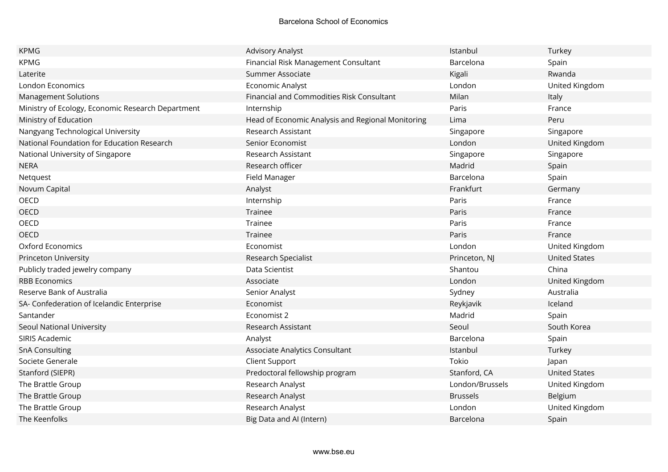| <b>KPMG</b>                                       | <b>Advisory Analyst</b>                           | Istanbul        | Turkey               |
|---------------------------------------------------|---------------------------------------------------|-----------------|----------------------|
| <b>KPMG</b>                                       | Financial Risk Management Consultant              | Barcelona       | Spain                |
| Laterite                                          | Summer Associate                                  | Kigali          | Rwanda               |
| London Economics                                  | Economic Analyst                                  | London          | United Kingdom       |
| <b>Management Solutions</b>                       | Financial and Commodities Risk Consultant         | Milan           | Italy                |
| Ministry of Ecology, Economic Research Department | Internship                                        | Paris           | France               |
| Ministry of Education                             | Head of Economic Analysis and Regional Monitoring | Lima            | Peru                 |
| Nangyang Technological University                 | Research Assistant                                | Singapore       | Singapore            |
| National Foundation for Education Research        | Senior Economist                                  | London          | United Kingdom       |
| National University of Singapore                  | Research Assistant                                | Singapore       | Singapore            |
| <b>NERA</b>                                       | Research officer                                  | Madrid          | Spain                |
| Netquest                                          | Field Manager                                     | Barcelona       | Spain                |
| Novum Capital                                     | Analyst                                           | Frankfurt       | Germany              |
| OECD                                              | Internship                                        | Paris           | France               |
| <b>OECD</b>                                       | Trainee                                           | Paris           | France               |
| <b>OECD</b>                                       | Trainee                                           | Paris           | France               |
| OECD                                              | Trainee                                           | Paris           | France               |
| <b>Oxford Economics</b>                           | Economist                                         | London          | United Kingdom       |
| Princeton University                              | Research Specialist                               | Princeton, NJ   | <b>United States</b> |
| Publicly traded jewelry company                   | Data Scientist                                    | Shantou         | China                |
| <b>RBB Economics</b>                              | Associate                                         | London          | United Kingdom       |
| Reserve Bank of Australia                         | Senior Analyst                                    | Sydney          | Australia            |
| SA- Confederation of Icelandic Enterprise         | Economist                                         | Reykjavik       | Iceland              |
| Santander                                         | Economist 2                                       | Madrid          | Spain                |
| Seoul National University                         | Research Assistant                                | Seoul           | South Korea          |
| SIRIS Academic                                    | Analyst                                           | Barcelona       | Spain                |
| <b>SnA Consulting</b>                             | Associate Analytics Consultant                    | Istanbul        | Turkey               |
| Societe Generale                                  | <b>Client Support</b>                             | Tokio           | Japan                |
| Stanford (SIEPR)                                  | Predoctoral fellowship program                    | Stanford, CA    | <b>United States</b> |
| The Brattle Group                                 | Research Analyst                                  | London/Brussels | United Kingdom       |
| The Brattle Group                                 | Research Analyst                                  | <b>Brussels</b> | Belgium              |
| The Brattle Group                                 | Research Analyst                                  | London          | United Kingdom       |
| The Keenfolks                                     | Big Data and AI (Intern)                          | Barcelona       | Spain                |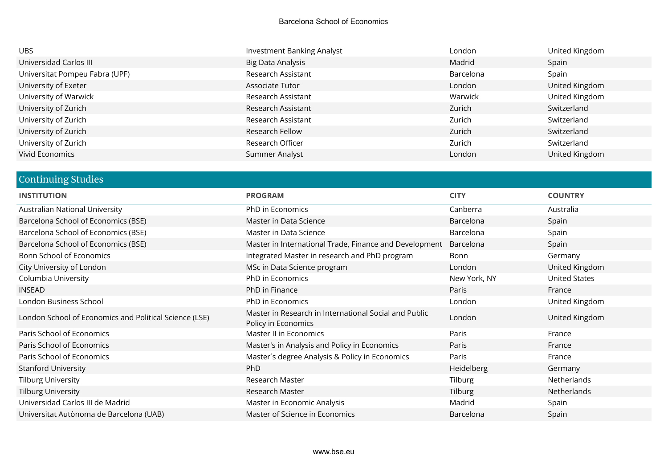| <b>UBS</b>                     | <b>Investment Banking Analyst</b> | London    | United Kingdom |
|--------------------------------|-----------------------------------|-----------|----------------|
| Universidad Carlos III         | Big Data Analysis                 | Madrid    | Spain          |
| Universitat Pompeu Fabra (UPF) | Research Assistant                | Barcelona | Spain          |
| University of Exeter           | Associate Tutor                   | London    | United Kingdom |
| University of Warwick          | Research Assistant                | Warwick   | United Kingdom |
| University of Zurich           | Research Assistant                | Zurich    | Switzerland    |
| University of Zurich           | Research Assistant                | Zurich    | Switzerland    |
| University of Zurich           | Research Fellow                   | Zurich    | Switzerland    |
| University of Zurich           | Research Officer                  | Zurich    | Switzerland    |
| Vivid Economics                | Summer Analyst                    | London    | United Kingdom |

# Continuing Studies

| <b>INSTITUTION</b>                                     | <b>PROGRAM</b>                                                               | <b>CITY</b>  | <b>COUNTRY</b>       |
|--------------------------------------------------------|------------------------------------------------------------------------------|--------------|----------------------|
| Australian National University                         | PhD in Economics                                                             | Canberra     | Australia            |
| Barcelona School of Economics (BSE)                    | Master in Data Science                                                       | Barcelona    | Spain                |
| Barcelona School of Economics (BSE)                    | Master in Data Science                                                       | Barcelona    | Spain                |
| Barcelona School of Economics (BSE)                    | Master in International Trade, Finance and Development                       | Barcelona    | Spain                |
| <b>Bonn School of Economics</b>                        | Integrated Master in research and PhD program                                | Bonn         | Germany              |
| City University of London                              | MSc in Data Science program                                                  | London       | United Kingdom       |
| Columbia University                                    | PhD in Economics                                                             | New York, NY | <b>United States</b> |
| <b>INSEAD</b>                                          | PhD in Finance                                                               | Paris        | France               |
| London Business School                                 | PhD in Economics                                                             | London       | United Kingdom       |
| London School of Economics and Political Science (LSE) | Master in Research in International Social and Public<br>Policy in Economics | London       | United Kingdom       |
| Paris School of Economics                              | Master II in Economics                                                       | Paris        | France               |
| Paris School of Economics                              | Master's in Analysis and Policy in Economics                                 | Paris        | France               |
| Paris School of Economics                              | Master's degree Analysis & Policy in Economics                               | Paris        | France               |
| <b>Stanford University</b>                             | PhD                                                                          | Heidelberg   | Germany              |
| <b>Tilburg University</b>                              | Research Master                                                              | Tilburg      | Netherlands          |
| <b>Tilburg University</b>                              | Research Master                                                              | Tilburg      | Netherlands          |
| Universidad Carlos III de Madrid                       | Master in Economic Analysis                                                  | Madrid       | Spain                |
| Universitat Autònoma de Barcelona (UAB)                | Master of Science in Economics                                               | Barcelona    | Spain                |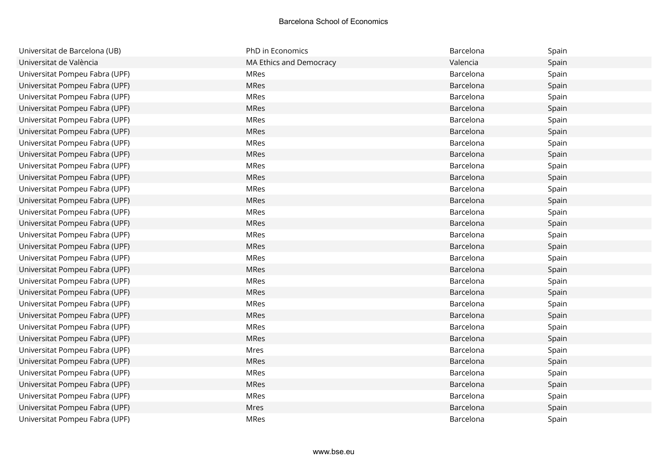| Universitat de Barcelona (UB)  | PhD in Economics        | Barcelona | Spain |
|--------------------------------|-------------------------|-----------|-------|
| Universitat de València        | MA Ethics and Democracy | Valencia  | Spain |
| Universitat Pompeu Fabra (UPF) | <b>MRes</b>             | Barcelona | Spain |
| Universitat Pompeu Fabra (UPF) | <b>MRes</b>             | Barcelona | Spain |
| Universitat Pompeu Fabra (UPF) | MRes                    | Barcelona | Spain |
| Universitat Pompeu Fabra (UPF) | <b>MRes</b>             | Barcelona | Spain |
| Universitat Pompeu Fabra (UPF) | <b>MRes</b>             | Barcelona | Spain |
| Universitat Pompeu Fabra (UPF) | MRes                    | Barcelona | Spain |
| Universitat Pompeu Fabra (UPF) | MRes                    | Barcelona | Spain |
| Universitat Pompeu Fabra (UPF) | <b>MRes</b>             | Barcelona | Spain |
| Universitat Pompeu Fabra (UPF) | <b>MRes</b>             | Barcelona | Spain |
| Universitat Pompeu Fabra (UPF) | <b>MRes</b>             | Barcelona | Spain |
| Universitat Pompeu Fabra (UPF) | <b>MRes</b>             | Barcelona | Spain |
| Universitat Pompeu Fabra (UPF) | MRes                    | Barcelona | Spain |
| Universitat Pompeu Fabra (UPF) | MRes                    | Barcelona | Spain |
| Universitat Pompeu Fabra (UPF) | <b>MRes</b>             | Barcelona | Spain |
| Universitat Pompeu Fabra (UPF) | <b>MRes</b>             | Barcelona | Spain |
| Universitat Pompeu Fabra (UPF) | MRes                    | Barcelona | Spain |
| Universitat Pompeu Fabra (UPF) | MRes                    | Barcelona | Spain |
| Universitat Pompeu Fabra (UPF) | MRes                    | Barcelona | Spain |
| Universitat Pompeu Fabra (UPF) | MRes                    | Barcelona | Spain |
| Universitat Pompeu Fabra (UPF) | <b>MRes</b>             | Barcelona | Spain |
| Universitat Pompeu Fabra (UPF) | <b>MRes</b>             | Barcelona | Spain |
| Universitat Pompeu Fabra (UPF) | <b>MRes</b>             | Barcelona | Spain |
| Universitat Pompeu Fabra (UPF) | MRes                    | Barcelona | Spain |
| Universitat Pompeu Fabra (UPF) | MRes                    | Barcelona | Spain |
| Universitat Pompeu Fabra (UPF) | Mres                    | Barcelona | Spain |
| Universitat Pompeu Fabra (UPF) | <b>MRes</b>             | Barcelona | Spain |
| Universitat Pompeu Fabra (UPF) | MRes                    | Barcelona | Spain |
| Universitat Pompeu Fabra (UPF) | <b>MRes</b>             | Barcelona | Spain |
| Universitat Pompeu Fabra (UPF) | MRes                    | Barcelona | Spain |
| Universitat Pompeu Fabra (UPF) | Mres                    | Barcelona | Spain |
| Universitat Pompeu Fabra (UPF) | <b>MRes</b>             | Barcelona | Spain |